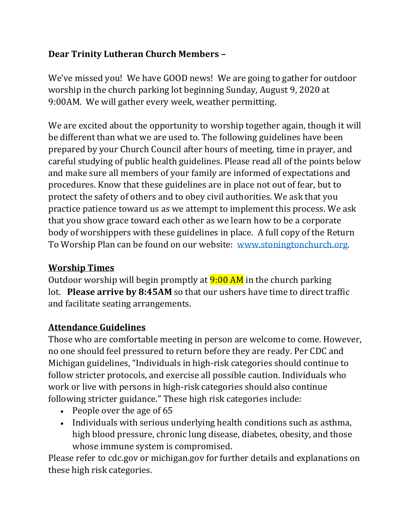## **Dear Trinity Lutheran Church Members –**

We've missed you! We have GOOD news! We are going to gather for outdoor worship in the church parking lot beginning Sunday, August 9, 2020 at 9:00AM. We will gather every week, weather permitting.

We are excited about the opportunity to worship together again, though it will be different than what we are used to. The following guidelines have been prepared by your Church Council after hours of meeting, time in prayer, and careful studying of public health guidelines. Please read all of the points below and make sure all members of your family are informed of expectations and procedures. Know that these guidelines are in place not out of fear, but to protect the safety of others and to obey civil authorities. We ask that you practice patience toward us as we attempt to implement this process. We ask that you show grace toward each other as we learn how to be a corporate body of worshippers with these guidelines in place. A full copy of the Return To Worship Plan can be found on our website: [www.stoningtonchurch.org.](http://www.stoningtonchurch.org/)

## **Worship Times**

Outdoor worship will begin promptly at  $9:00$  AM in the church parking lot. **Please arrive by 8:45AM** so that our ushers have time to direct traffic and facilitate seating arrangements.

## **Attendance Guidelines**

Those who are comfortable meeting in person are welcome to come. However, no one should feel pressured to return before they are ready. Per CDC and Michigan guidelines, "Individuals in high-risk categories should continue to follow stricter protocols, and exercise all possible caution. Individuals who work or live with persons in high-risk categories should also continue following stricter guidance." These high risk categories include:

- People over the age of 65
- Individuals with serious underlying health conditions such as asthma, high blood pressure, chronic lung disease, diabetes, obesity, and those whose immune system is compromised.

Please refer to cdc.gov or michigan.gov for further details and explanations on these high risk categories.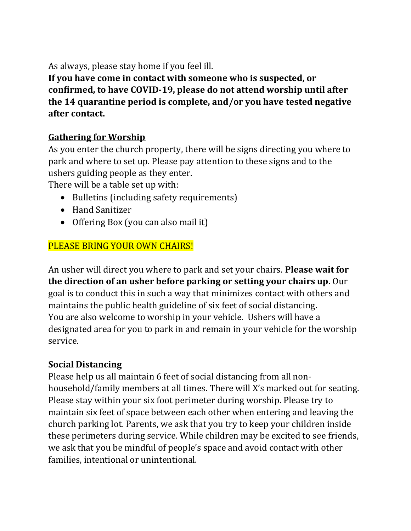As always, please stay home if you feel ill.

**If you have come in contact with someone who is suspected, or confirmed, to have COVID-19, please do not attend worship until after the 14 quarantine period is complete, and/or you have tested negative after contact.**

# **Gathering for Worship**

As you enter the church property, there will be signs directing you where to park and where to set up. Please pay attention to these signs and to the ushers guiding people as they enter.

There will be a table set up with:

- Bulletins (including safety requirements)
- Hand Sanitizer
- Offering Box (you can also mail it)

# PLEASE BRING YOUR OWN CHAIRS!

An usher will direct you where to park and set your chairs. **Please wait for the direction of an usher before parking or setting your chairs up**. Our goal is to conduct this in such a way that minimizes contact with others and maintains the public health guideline of six feet of social distancing. You are also welcome to worship in your vehicle. Ushers will have a designated area for you to park in and remain in your vehicle for the worship service.

## **Social Distancing**

Please help us all maintain 6 feet of social distancing from all nonhousehold/family members at all times. There will X's marked out for seating. Please stay within your six foot perimeter during worship. Please try to maintain six feet of space between each other when entering and leaving the church parking lot. Parents, we ask that you try to keep your children inside these perimeters during service. While children may be excited to see friends, we ask that you be mindful of people's space and avoid contact with other families, intentional or unintentional.